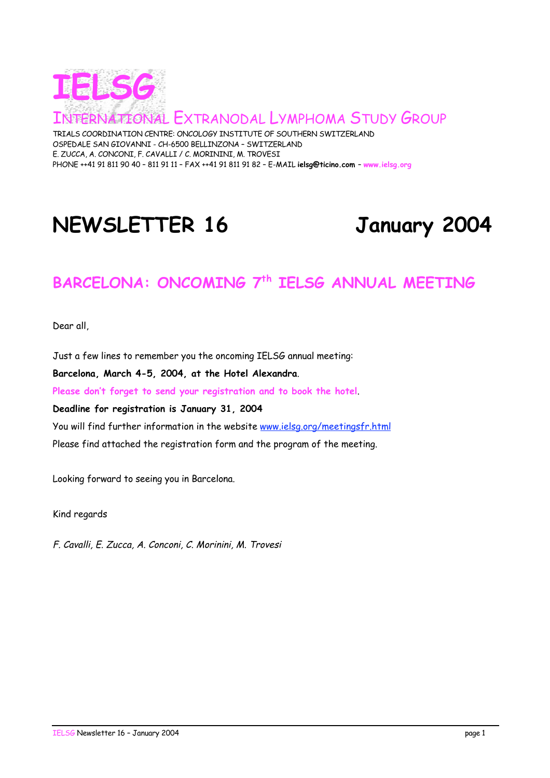

TONAL EXTRANODAL LYMPHOMA STUDY GROUP

TRIALS COORDINATION CENTRE: ONCOLOGY INSTITUTE OF SOUTHERN SWITZERLAND OSPEDALE SAN GIOVANNI - CH-6500 BELLINZONA – SWITZERLAND E. ZUCCA, A. CONCONI, F. CAVALLI / C. MORININI, M. TROVESI PHONE ++41 91 811 90 40 – 811 91 11 – FAX ++41 91 811 91 82 – E-MAIL **ielsg@ticino.com** – **www.ielsg.org**

# **NEWSLETTER 16 January 2004**

## **BARCELONA: ONCOMING 7th IELSG ANNUAL MEETING**

Dear all,

Just a few lines to remember you the oncoming IELSG annual meeting: **Barcelona, March 4-5, 2004, at the Hotel Alexandra**. **Please don't forget to send your registration and to book the hotel**. **Deadline for registration is January 31, 2004** You will find further information in the website www.ielsg.org/meetingsfr.html Please find attached the registration form and the program of the meeting.

Looking forward to seeing you in Barcelona.

Kind regards

F. Cavalli, E. Zucca, A. Conconi, C. Morinini, M. Trovesi